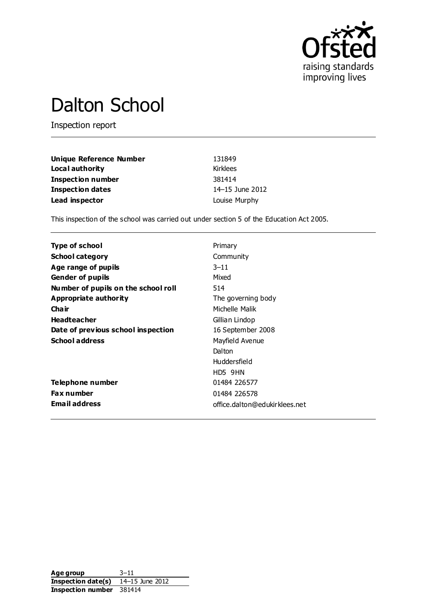

# Dalton School

Inspection report

| Unique Reference Number  | 131849          |
|--------------------------|-----------------|
| Local authority          | Kirklees        |
| <b>Inspection number</b> | 381414          |
| <b>Inspection dates</b>  | 14–15 June 2012 |
| Lead inspector           | Louise Murphy   |

This inspection of the school was carried out under section 5 of the Education Act 2005.

| Type of school                      | Primary                       |
|-------------------------------------|-------------------------------|
| <b>School category</b>              | Community                     |
| Age range of pupils                 | $3 - 11$                      |
| <b>Gender of pupils</b>             | Mixed                         |
| Number of pupils on the school roll | 514                           |
| Appropriate authority               | The governing body            |
| Cha ir                              | Michelle Malik                |
| <b>Headteacher</b>                  | Gillian Lindop                |
| Date of previous school inspection  | 16 September 2008             |
| <b>School address</b>               | Mayfield Avenue               |
|                                     | Dalton                        |
|                                     | Huddersfield                  |
|                                     | HD5 9HN                       |
| Telephone number                    | 01484 226577                  |
| <b>Fax number</b>                   | 01484 226578                  |
| <b>Email address</b>                | office.dalton@edukirklees.net |

**Age group** 3–11 **Inspection date(s)** 14–15 June 2012 **Inspection number** 381414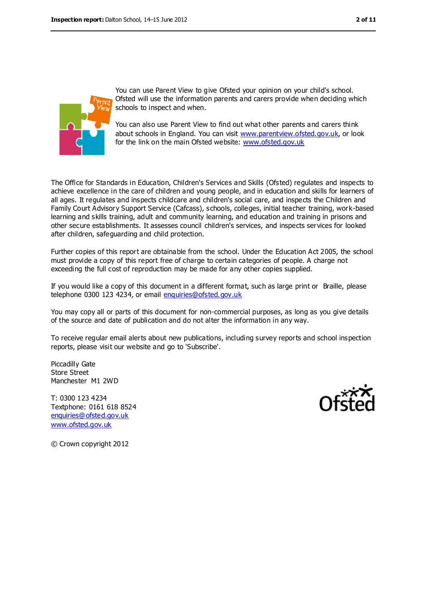

You can use Parent View to give Ofsted your opinion on your child's school. Ofsted will use the information parents and carers provide when deciding which schools to inspect and when.

You can also use Parent View to find out what other parents and carers think about schools in England. You can visit [www.parentview.ofsted.gov.uk,](file:///F:/Documents%20and%20Settings/JLM/Local%20Settings/Temporary%20Internet%20Files/Content.IE5/I5JDGI1Y/www.parentview.ofsted.gov.uk) or look for the link on the main Ofsted website: [www.ofsted.gov.uk](file:///F:/Documents%20and%20Settings/JLM/Local%20Settings/Temporary%20Internet%20Files/Content.IE5/I5JDGI1Y/www.ofsted.gov.uk)

The Office for Standards in Education, Children's Services and Skills (Ofsted) regulates and inspects to achieve excellence in the care of children and young people, and in education and skills for learners of all ages. It regulates and inspects childcare and children's social care, and inspects the Children and Family Court Advisory Support Service (Cafcass), schools, colleges, initial teacher training, work-based learning and skills training, adult and community learning, and education and training in prisons and other secure establishments. It assesses council children's services, and inspects services for looked after children, safeguarding and child protection.

Further copies of this report are obtainable from the school. Under the Education Act 2005, the school must provide a copy of this report free of charge to certain categories of people. A charge not exceeding the full cost of reproduction may be made for any other copies supplied.

If you would like a copy of this document in a different format, such as large print or Braille, please telephone 0300 123 4234, or email [enquiries@ofsted.gov.uk](mailto:enquiries@ofsted.gov.uk)

You may copy all or parts of this document for non-commercial purposes, as long as you give details of the source and date of publication and do not alter the information in any way.

To receive regular email alerts about new publications, including survey reports and school inspection reports, please visit our website and go to 'Subscribe'.

Piccadilly Gate Store Street Manchester M1 2WD

T: 0300 123 4234 Textphone: 0161 618 8524 [enquiries@ofsted.gov.uk](mailto:enquiries@ofsted.gov.uk) [www.ofsted.gov.uk](http://www.ofsted.gov.uk/)



© Crown copyright 2012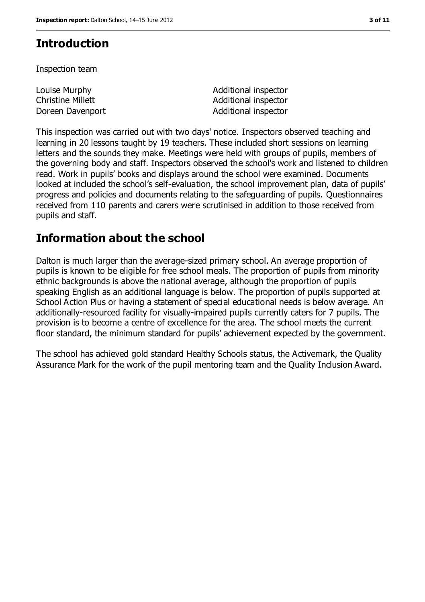# **Introduction**

Inspection team

| Louise Murphy     | Additional inspector |
|-------------------|----------------------|
| Christine Millett | Additional inspector |
| Doreen Davenport  | Additional inspector |

This inspection was carried out with two days' notice. Inspectors observed teaching and learning in 20 lessons taught by 19 teachers. These included short sessions on learning letters and the sounds they make. Meetings were held with groups of pupils, members of the governing body and staff. Inspectors observed the school's work and listened to children read. Work in pupils' books and displays around the school were examined. Documents looked at included the school's self-evaluation, the school improvement plan, data of pupils' progress and policies and documents relating to the safeguarding of pupils. Questionnaires received from 110 parents and carers were scrutinised in addition to those received from pupils and staff.

# **Information about the school**

Dalton is much larger than the average-sized primary school. An average proportion of pupils is known to be eligible for free school meals. The proportion of pupils from minority ethnic backgrounds is above the national average, although the proportion of pupils speaking English as an additional language is below. The proportion of pupils supported at School Action Plus or having a statement of special educational needs is below average. An additionally-resourced facility for visually-impaired pupils currently caters for 7 pupils. The provision is to become a centre of excellence for the area. The school meets the current floor standard, the minimum standard for pupils' achievement expected by the government.

The school has achieved gold standard Healthy Schools status, the Activemark, the Quality Assurance Mark for the work of the pupil mentoring team and the Quality Inclusion Award.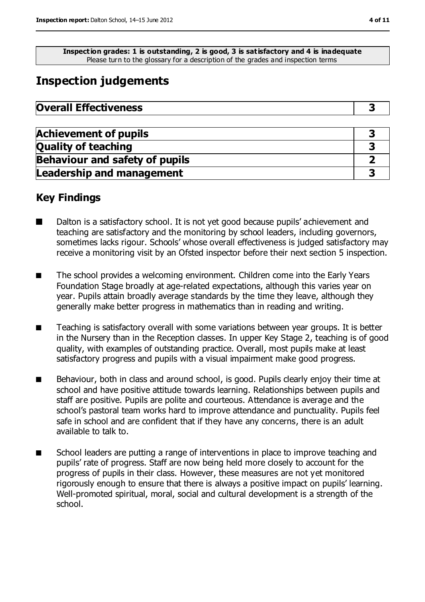**Inspection grades: 1 is outstanding, 2 is good, 3 is satisfactory and 4 is inadequate** Please turn to the glossary for a description of the grades and inspection terms

# **Inspection judgements**

| <b>Overall Effectiveness</b> |  |
|------------------------------|--|
|------------------------------|--|

| <b>Achievement of pupils</b>          |  |
|---------------------------------------|--|
| <b>Quality of teaching</b>            |  |
| <b>Behaviour and safety of pupils</b> |  |
| <b>Leadership and management</b>      |  |

# **Key Findings**

- Dalton is a satisfactory school. It is not yet good because pupils' achievement and teaching are satisfactory and the monitoring by school leaders, including governors, sometimes lacks rigour. Schools' whose overall effectiveness is judged satisfactory may receive a monitoring visit by an Ofsted inspector before their next section 5 inspection.
- The school provides a welcoming environment. Children come into the Early Years Foundation Stage broadly at age-related expectations, although this varies year on year. Pupils attain broadly average standards by the time they leave, although they generally make better progress in mathematics than in reading and writing.
- Teaching is satisfactory overall with some variations between year groups. It is better in the Nursery than in the Reception classes. In upper Key Stage 2, teaching is of good quality, with examples of outstanding practice. Overall, most pupils make at least satisfactory progress and pupils with a visual impairment make good progress.
- Behaviour, both in class and around school, is good. Pupils clearly enjoy their time at school and have positive attitude towards learning. Relationships between pupils and staff are positive. Pupils are polite and courteous. Attendance is average and the school's pastoral team works hard to improve attendance and punctuality. Pupils feel safe in school and are confident that if they have any concerns, there is an adult available to talk to.
- School leaders are putting a range of interventions in place to improve teaching and pupils' rate of progress. Staff are now being held more closely to account for the progress of pupils in their class. However, these measures are not yet monitored rigorously enough to ensure that there is always a positive impact on pupils' learning. Well-promoted spiritual, moral, social and cultural development is a strength of the school.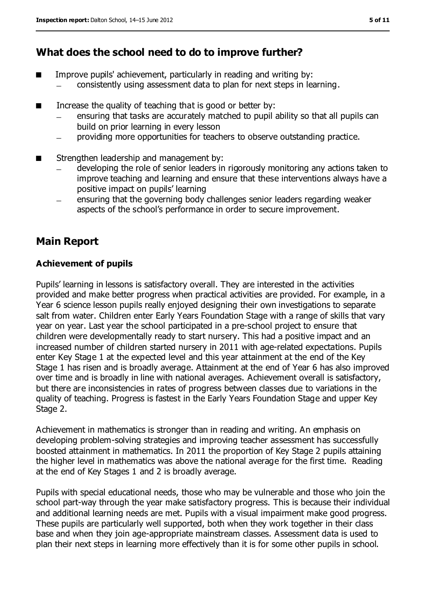# **What does the school need to do to improve further?**

- Improve pupils' achievement, particularly in reading and writing by: consistently using assessment data to plan for next steps in learning.
- Increase the quality of teaching that is good or better by:
	- ensuring that tasks are accurately matched to pupil ability so that all pupils can build on prior learning in every lesson
	- providing more opportunities for teachers to observe outstanding practice.  $\equiv$
- Strengthen leadership and management by:
	- developing the role of senior leaders in rigorously monitoring any actions taken to improve teaching and learning and ensure that these interventions always have a positive impact on pupils' learning
	- ensuring that the governing body challenges senior leaders regarding weaker aspects of the school's performance in order to secure improvement.

# **Main Report**

#### **Achievement of pupils**

Pupils' learning in lessons is satisfactory overall. They are interested in the activities provided and make better progress when practical activities are provided. For example, in a Year 6 science lesson pupils really enjoyed designing their own investigations to separate salt from water. Children enter Early Years Foundation Stage with a range of skills that vary year on year. Last year the school participated in a pre-school project to ensure that children were developmentally ready to start nursery. This had a positive impact and an increased number of children started nursery in 2011 with age-related expectations. Pupils enter Key Stage 1 at the expected level and this year attainment at the end of the Key Stage 1 has risen and is broadly average. Attainment at the end of Year 6 has also improved over time and is broadly in line with national averages. Achievement overall is satisfactory, but there are inconsistencies in rates of progress between classes due to variations in the quality of teaching. Progress is fastest in the Early Years Foundation Stage and upper Key Stage 2.

Achievement in mathematics is stronger than in reading and writing. An emphasis on developing problem-solving strategies and improving teacher assessment has successfully boosted attainment in mathematics. In 2011 the proportion of Key Stage 2 pupils attaining the higher level in mathematics was above the national average for the first time. Reading at the end of Key Stages 1 and 2 is broadly average.

Pupils with special educational needs, those who may be vulnerable and those who join the school part-way through the year make satisfactory progress. This is because their individual and additional learning needs are met. Pupils with a visual impairment make good progress. These pupils are particularly well supported, both when they work together in their class base and when they join age-appropriate mainstream classes. Assessment data is used to plan their next steps in learning more effectively than it is for some other pupils in school.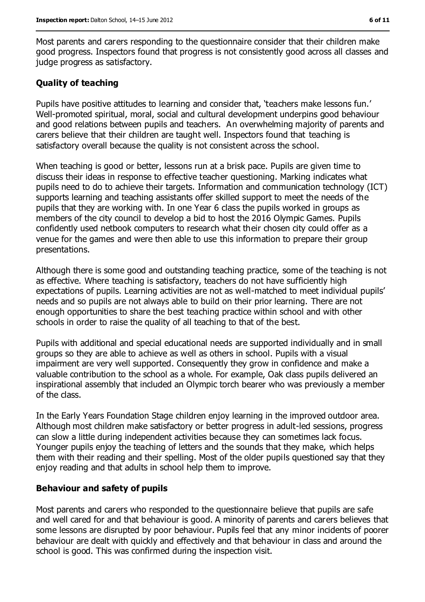Most parents and carers responding to the questionnaire consider that their children make good progress. Inspectors found that progress is not consistently good across all classes and judge progress as satisfactory.

#### **Quality of teaching**

Pupils have positive attitudes to learning and consider that, 'teachers make lessons fun.' Well-promoted spiritual, moral, social and cultural development underpins good behaviour and good relations between pupils and teachers. An overwhelming majority of parents and carers believe that their children are taught well. Inspectors found that teaching is satisfactory overall because the quality is not consistent across the school.

When teaching is good or better, lessons run at a brisk pace. Pupils are given time to discuss their ideas in response to effective teacher questioning. Marking indicates what pupils need to do to achieve their targets. Information and communication technology (ICT) supports learning and teaching assistants offer skilled support to meet the needs of the pupils that they are working with. In one Year 6 class the pupils worked in groups as members of the city council to develop a bid to host the 2016 Olympic Games. Pupils confidently used netbook computers to research what their chosen city could offer as a venue for the games and were then able to use this information to prepare their group presentations.

Although there is some good and outstanding teaching practice, some of the teaching is not as effective. Where teaching is satisfactory, teachers do not have sufficiently high expectations of pupils. Learning activities are not as well-matched to meet individual pupils' needs and so pupils are not always able to build on their prior learning. There are not enough opportunities to share the best teaching practice within school and with other schools in order to raise the quality of all teaching to that of the best.

Pupils with additional and special educational needs are supported individually and in small groups so they are able to achieve as well as others in school. Pupils with a visual impairment are very well supported. Consequently they grow in confidence and make a valuable contribution to the school as a whole. For example, Oak class pupils delivered an inspirational assembly that included an Olympic torch bearer who was previously a member of the class.

In the Early Years Foundation Stage children enjoy learning in the improved outdoor area. Although most children make satisfactory or better progress in adult-led sessions, progress can slow a little during independent activities because they can sometimes lack focus. Younger pupils enjoy the teaching of letters and the sounds that they make, which helps them with their reading and their spelling. Most of the older pupils questioned say that they enjoy reading and that adults in school help them to improve.

#### **Behaviour and safety of pupils**

Most parents and carers who responded to the questionnaire believe that pupils are safe and well cared for and that behaviour is good. A minority of parents and carers believes that some lessons are disrupted by poor behaviour. Pupils feel that any minor incidents of poorer behaviour are dealt with quickly and effectively and that behaviour in class and around the school is good. This was confirmed during the inspection visit.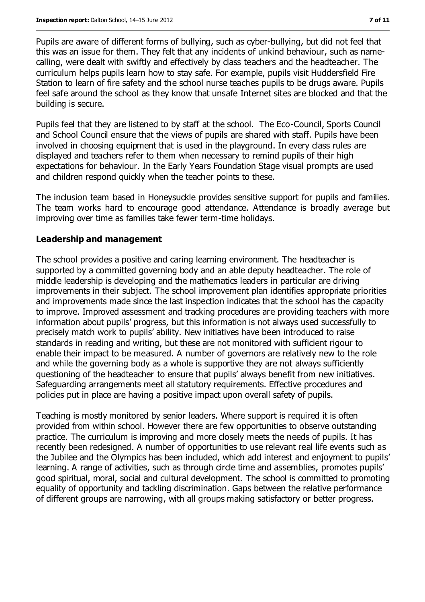Pupils are aware of different forms of bullying, such as cyber-bullying, but did not feel that this was an issue for them. They felt that any incidents of unkind behaviour, such as namecalling, were dealt with swiftly and effectively by class teachers and the headteacher. The curriculum helps pupils learn how to stay safe. For example, pupils visit Huddersfield Fire Station to learn of fire safety and the school nurse teaches pupils to be drugs aware. Pupils feel safe around the school as they know that unsafe Internet sites are blocked and that the building is secure.

Pupils feel that they are listened to by staff at the school. The Eco-Council, Sports Council and School Council ensure that the views of pupils are shared with staff. Pupils have been involved in choosing equipment that is used in the playground. In every class rules are displayed and teachers refer to them when necessary to remind pupils of their high expectations for behaviour. In the Early Years Foundation Stage visual prompts are used and children respond quickly when the teacher points to these.

The inclusion team based in Honeysuckle provides sensitive support for pupils and families. The team works hard to encourage good attendance. Attendance is broadly average but improving over time as families take fewer term-time holidays.

#### **Leadership and management**

The school provides a positive and caring learning environment. The headteacher is supported by a committed governing body and an able deputy headteacher. The role of middle leadership is developing and the mathematics leaders in particular are driving improvements in their subject. The school improvement plan identifies appropriate priorities and improvements made since the last inspection indicates that the school has the capacity to improve. Improved assessment and tracking procedures are providing teachers with more information about pupils' progress, but this information is not always used successfully to precisely match work to pupils' ability. New initiatives have been introduced to raise standards in reading and writing, but these are not monitored with sufficient rigour to enable their impact to be measured. A number of governors are relatively new to the role and while the governing body as a whole is supportive they are not always sufficiently questioning of the headteacher to ensure that pupils' always benefit from new initiatives. Safeguarding arrangements meet all statutory requirements. Effective procedures and policies put in place are having a positive impact upon overall safety of pupils.

Teaching is mostly monitored by senior leaders. Where support is required it is often provided from within school. However there are few opportunities to observe outstanding practice. The curriculum is improving and more closely meets the needs of pupils. It has recently been redesigned. A number of opportunities to use relevant real life events such as the Jubilee and the Olympics has been included, which add interest and enjoyment to pupils' learning. A range of activities, such as through circle time and assemblies, promotes pupils' good spiritual, moral, social and cultural development. The school is committed to promoting equality of opportunity and tackling discrimination. Gaps between the relative performance of different groups are narrowing, with all groups making satisfactory or better progress.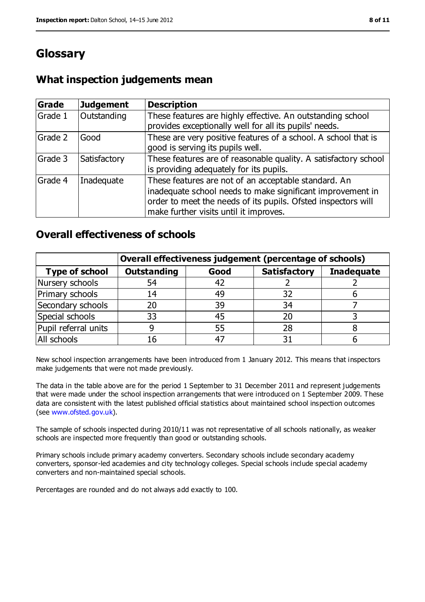# **Glossary**

# **What inspection judgements mean**

| Grade   | <b>Judgement</b> | <b>Description</b>                                                                                                                                                                                                            |
|---------|------------------|-------------------------------------------------------------------------------------------------------------------------------------------------------------------------------------------------------------------------------|
| Grade 1 | Outstanding      | These features are highly effective. An outstanding school<br>provides exceptionally well for all its pupils' needs.                                                                                                          |
| Grade 2 | Good             | These are very positive features of a school. A school that is<br>good is serving its pupils well.                                                                                                                            |
| Grade 3 | Satisfactory     | These features are of reasonable quality. A satisfactory school<br>is providing adequately for its pupils.                                                                                                                    |
| Grade 4 | Inadequate       | These features are not of an acceptable standard. An<br>inadequate school needs to make significant improvement in<br>order to meet the needs of its pupils. Ofsted inspectors will<br>make further visits until it improves. |

### **Overall effectiveness of schools**

|                       | Overall effectiveness judgement (percentage of schools) |      |                     |                   |
|-----------------------|---------------------------------------------------------|------|---------------------|-------------------|
| <b>Type of school</b> | <b>Outstanding</b>                                      | Good | <b>Satisfactory</b> | <b>Inadequate</b> |
| Nursery schools       | 54                                                      | 42   |                     |                   |
| Primary schools       | 14                                                      | 49   | 32                  |                   |
| Secondary schools     | 20                                                      | 39   | 34                  |                   |
| Special schools       | 33                                                      | 45   | 20                  |                   |
| Pupil referral units  |                                                         | 55   | 28                  |                   |
| All schools           | 16                                                      | $-4$ |                     |                   |

New school inspection arrangements have been introduced from 1 January 2012. This means that inspectors make judgements that were not made previously.

The data in the table above are for the period 1 September to 31 December 2011 and represent judgements that were made under the school inspection arrangements that were introduced on 1 September 2009. These data are consistent with the latest published official statistics about maintained school inspection outcomes (see [www.ofsted.gov.uk\)](file:///F:/Documents%20and%20Settings/JLM/Local%20Settings/Temporary%20Internet%20Files/Content.IE5/I5JDGI1Y/www.ofsted.gov.uk).

The sample of schools inspected during 2010/11 was not representative of all schools nationally, as weaker schools are inspected more frequently than good or outstanding schools.

Primary schools include primary academy converters. Secondary schools include secondary academy converters, sponsor-led academies and city technology colleges. Special schools include special academy converters and non-maintained special schools.

Percentages are rounded and do not always add exactly to 100.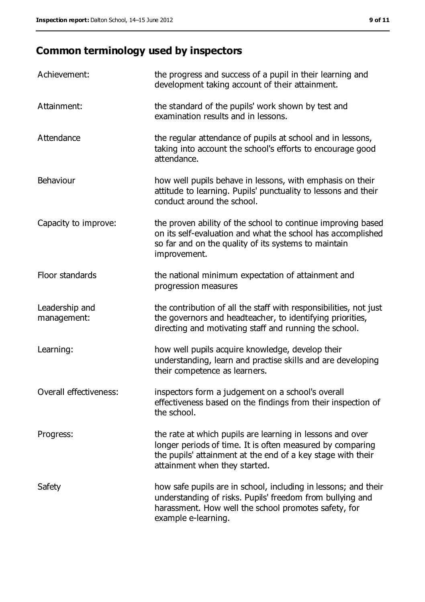# **Common terminology used by inspectors**

| Achievement:                  | the progress and success of a pupil in their learning and<br>development taking account of their attainment.                                                                                                           |
|-------------------------------|------------------------------------------------------------------------------------------------------------------------------------------------------------------------------------------------------------------------|
| Attainment:                   | the standard of the pupils' work shown by test and<br>examination results and in lessons.                                                                                                                              |
| Attendance                    | the regular attendance of pupils at school and in lessons,<br>taking into account the school's efforts to encourage good<br>attendance.                                                                                |
| Behaviour                     | how well pupils behave in lessons, with emphasis on their<br>attitude to learning. Pupils' punctuality to lessons and their<br>conduct around the school.                                                              |
| Capacity to improve:          | the proven ability of the school to continue improving based<br>on its self-evaluation and what the school has accomplished<br>so far and on the quality of its systems to maintain<br>improvement.                    |
| Floor standards               | the national minimum expectation of attainment and<br>progression measures                                                                                                                                             |
| Leadership and<br>management: | the contribution of all the staff with responsibilities, not just<br>the governors and headteacher, to identifying priorities,<br>directing and motivating staff and running the school.                               |
| Learning:                     | how well pupils acquire knowledge, develop their<br>understanding, learn and practise skills and are developing<br>their competence as learners.                                                                       |
| Overall effectiveness:        | inspectors form a judgement on a school's overall<br>effectiveness based on the findings from their inspection of<br>the school.                                                                                       |
| Progress:                     | the rate at which pupils are learning in lessons and over<br>longer periods of time. It is often measured by comparing<br>the pupils' attainment at the end of a key stage with their<br>attainment when they started. |
| Safety                        | how safe pupils are in school, including in lessons; and their<br>understanding of risks. Pupils' freedom from bullying and<br>harassment. How well the school promotes safety, for<br>example e-learning.             |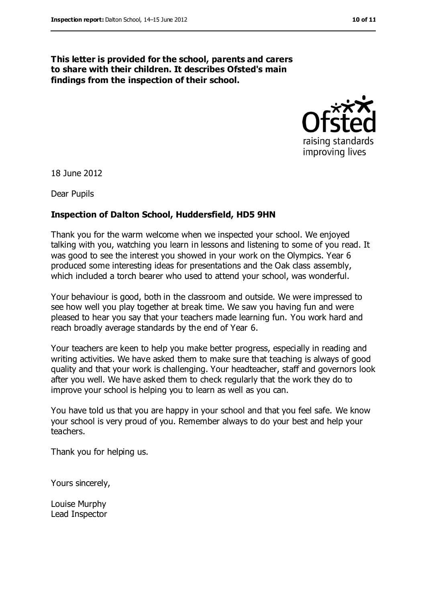#### **This letter is provided for the school, parents and carers to share with their children. It describes Ofsted's main findings from the inspection of their school.**



18 June 2012

Dear Pupils

#### **Inspection of Dalton School, Huddersfield, HD5 9HN**

Thank you for the warm welcome when we inspected your school. We enjoyed talking with you, watching you learn in lessons and listening to some of you read. It was good to see the interest you showed in your work on the Olympics. Year 6 produced some interesting ideas for presentations and the Oak class assembly, which included a torch bearer who used to attend your school, was wonderful.

Your behaviour is good, both in the classroom and outside. We were impressed to see how well you play together at break time. We saw you having fun and were pleased to hear you say that your teachers made learning fun. You work hard and reach broadly average standards by the end of Year 6.

Your teachers are keen to help you make better progress, especially in reading and writing activities. We have asked them to make sure that teaching is always of good quality and that your work is challenging. Your headteacher, staff and governors look after you well. We have asked them to check regularly that the work they do to improve your school is helping you to learn as well as you can.

You have told us that you are happy in your school and that you feel safe. We know your school is very proud of you. Remember always to do your best and help your teachers.

Thank you for helping us.

Yours sincerely,

Louise Murphy Lead Inspector